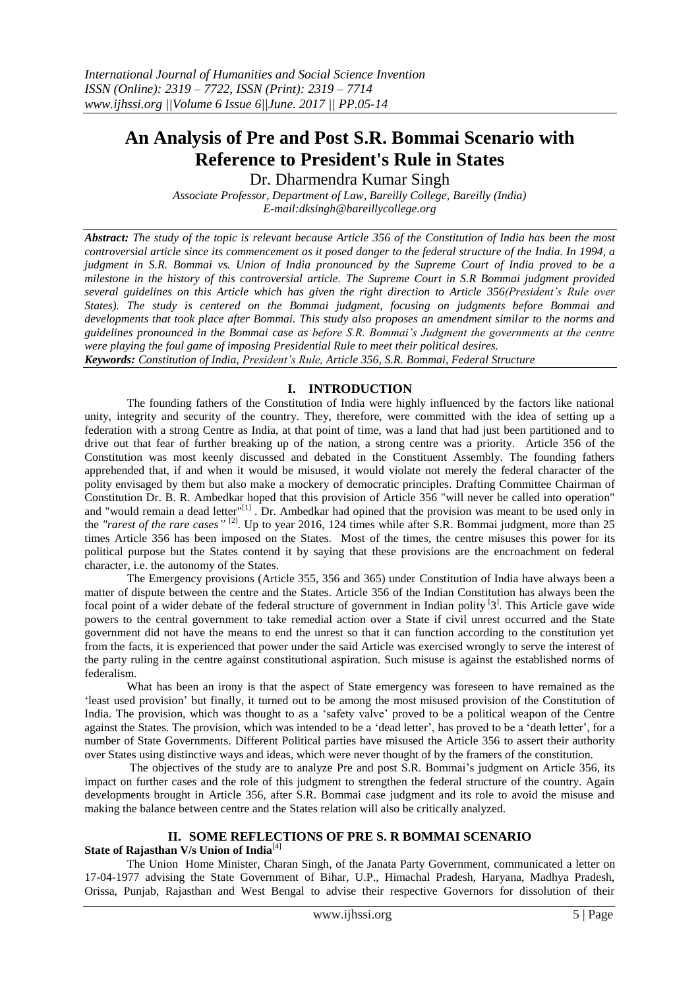# **An Analysis of Pre and Post S.R. Bommai Scenario with Reference to President's Rule in States**

Dr. Dharmendra Kumar Singh

*Associate Professor, Department of Law, Bareilly College, Bareilly (India) E-mail:dksingh@bareillycollege.org*

*Abstract: The study of the topic is relevant because Article 356 of the Constitution of India has been the most controversial article since its commencement as it posed danger to the federal structure of the India. In 1994, a judgment in S.R. Bommai vs. Union of India pronounced by the Supreme Court of India proved to be a milestone in the history of this controversial article. The Supreme Court in S.R Bommai judgment provided several guidelines on this Article which has given the right direction to Article 356(President's Rule over States). The study is centered on the Bommai judgment, focusing on judgments before Bommai and developments that took place after Bommai. This study also proposes an amendment similar to the norms and guidelines pronounced in the Bommai case as before S.R. Bommai's Judgment the governments at the centre were playing the foul game of imposing Presidential Rule to meet their political desires. Keywords: Constitution of India, President's Rule, Article 356, S.R. Bommai, Federal Structure*

# **I. INTRODUCTION**

The founding fathers of the Constitution of India were highly influenced by the factors like national unity, integrity and security of the country. They, therefore, were committed with the idea of setting up a federation with a strong Centre as India, at that point of time, was a land that had just been partitioned and to drive out that fear of further breaking up of the nation, a strong centre was a priority. Article 356 of the Constitution was most keenly discussed and debated in the Constituent Assembly. The founding fathers apprehended that, if and when it would be misused, it would violate not merely the federal character of the polity envisaged by them but also make a mockery of democratic principles. Drafting Committee Chairman of Constitution Dr. B. R. Ambedkar hoped that this provision of Article 356 "will never be called into operation" and "would remain a dead letter"<sup>[1]</sup>. Dr. Ambedkar had opined that the provision was meant to be used only in the *"rarest of the rare cases"* [2] . Up to year 2016, 124 times while after S.R. Bommai judgment, more than 25 times Article 356 has been imposed on the States. Most of the times, the centre misuses this power for its political purpose but the States contend it by saying that these provisions are the encroachment on federal character, i.e. the autonomy of the States.

The Emergency provisions (Article 355, 356 and 365) under Constitution of India have always been a matter of dispute between the centre and the States. Article 356 of the Indian Constitution has always been the focal point of a wider debate of the federal structure of government in Indian polity <sup>[3]</sup>. This Article gave wide powers to the central government to take remedial action over a State if civil unrest occurred and the State government did not have the means to end the unrest so that it can function according to the constitution yet from the facts, it is experienced that power under the said Article was exercised wrongly to serve the interest of the party ruling in the centre against constitutional aspiration. Such misuse is against the established norms of federalism.

What has been an irony is that the aspect of State emergency was foreseen to have remained as the 'least used provision' but finally, it turned out to be among the most misused provision of the Constitution of India. The provision, which was thought to as a 'safety valve' proved to be a political weapon of the Centre against the States. The provision, which was intended to be a 'dead letter', has proved to be a 'death letter', for a number of State Governments. Different Political parties have misused the Article 356 to assert their authority over States using distinctive ways and ideas, which were never thought of by the framers of the constitution.

The objectives of the study are to analyze Pre and post S.R. Bommai's judgment on Article 356, its impact on further cases and the role of this judgment to strengthen the federal structure of the country. Again developments brought in Article 356, after S.R. Bommai case judgment and its role to avoid the misuse and making the balance between centre and the States relation will also be critically analyzed.

## **II. SOME REFLECTIONS OF PRE S. R BOMMAI SCENARIO**

## **State of Rajasthan V/s Union of India**[4]

The Union Home Minister, Charan Singh, of the Janata Party Government, communicated a letter on 17-04-1977 advising the State Government of Bihar, U.P., Himachal Pradesh, Haryana, Madhya Pradesh, Orissa, Punjab, Rajasthan and West Bengal to advise their respective Governors for dissolution of their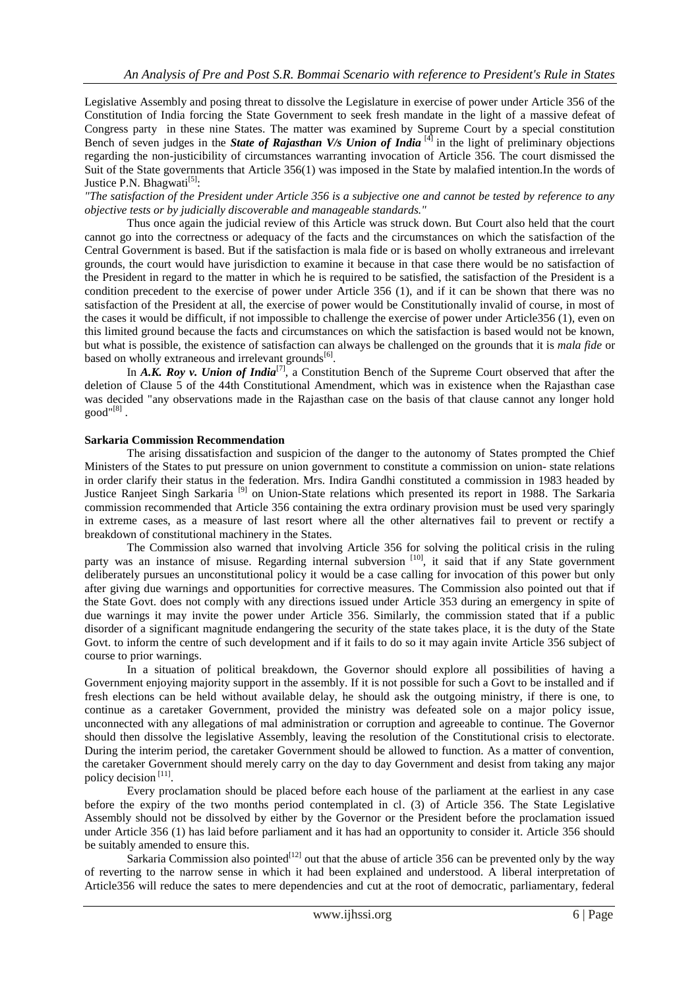Legislative Assembly and posing threat to dissolve the Legislature in exercise of power under Article 356 of the Constitution of India forcing the State Government to seek fresh mandate in the light of a massive defeat of Congress party in these nine States. The matter was examined by Supreme Court by a special constitution Bench of seven judges in the *State of Rajasthan V/s Union of India* [4] in the light of preliminary objections regarding the non-justicibility of circumstances warranting invocation of Article 356. The court dismissed the Suit of the State governments that Article 356(1) was imposed in the State by malafied intention.In the words of Justice P.N. Bhagwati<sup>[5]</sup>:

*"The satisfaction of the President under Article 356 is a subjective one and cannot be tested by reference to any objective tests or by judicially discoverable and manageable standards."*

Thus once again the judicial review of this Article was struck down. But Court also held that the court cannot go into the correctness or adequacy of the facts and the circumstances on which the satisfaction of the Central Government is based. But if the satisfaction is mala fide or is based on wholly extraneous and irrelevant grounds, the court would have jurisdiction to examine it because in that case there would be no satisfaction of the President in regard to the matter in which he is required to be satisfied, the satisfaction of the President is a condition precedent to the exercise of power under Article 356 (1), and if it can be shown that there was no satisfaction of the President at all, the exercise of power would be Constitutionally invalid of course, in most of the cases it would be difficult, if not impossible to challenge the exercise of power under Article356 (1), even on this limited ground because the facts and circumstances on which the satisfaction is based would not be known, but what is possible, the existence of satisfaction can always be challenged on the grounds that it is *mala fide* or based on wholly extraneous and irrelevant grounds<sup>[6]</sup>.

In *A.K. Roy v. Union of India*<sup>[7]</sup>, a Constitution Bench of the Supreme Court observed that after the deletion of Clause 5 of the 44th Constitutional Amendment, which was in existence when the Rajasthan case was decided "any observations made in the Rajasthan case on the basis of that clause cannot any longer hold  $\text{good}^{\text{``[8]}}$  .

## **Sarkaria Commission Recommendation**

The arising dissatisfaction and suspicion of the danger to the autonomy of States prompted the Chief Ministers of the States to put pressure on union government to constitute a commission on union- state relations in order clarify their status in the federation. Mrs. Indira Gandhi constituted a commission in 1983 headed by Justice Ranjeet Singh Sarkaria<sup>[9]</sup> on Union-State relations which presented its report in 1988. The Sarkaria commission recommended that Article 356 containing the extra ordinary provision must be used very sparingly in extreme cases, as a measure of last resort where all the other alternatives fail to prevent or rectify a breakdown of constitutional machinery in the States.

The Commission also warned that involving Article 356 for solving the political crisis in the ruling party was an instance of misuse. Regarding internal subversion [10], it said that if any State government deliberately pursues an unconstitutional policy it would be a case calling for invocation of this power but only after giving due warnings and opportunities for corrective measures. The Commission also pointed out that if the State Govt. does not comply with any directions issued under Article 353 during an emergency in spite of due warnings it may invite the power under Article 356. Similarly, the commission stated that if a public disorder of a significant magnitude endangering the security of the state takes place, it is the duty of the State Govt. to inform the centre of such development and if it fails to do so it may again invite Article 356 subject of course to prior warnings.

In a situation of political breakdown, the Governor should explore all possibilities of having a Government enjoying majority support in the assembly. If it is not possible for such a Govt to be installed and if fresh elections can be held without available delay, he should ask the outgoing ministry, if there is one, to continue as a caretaker Government, provided the ministry was defeated sole on a major policy issue, unconnected with any allegations of mal administration or corruption and agreeable to continue. The Governor should then dissolve the legislative Assembly, leaving the resolution of the Constitutional crisis to electorate. During the interim period, the caretaker Government should be allowed to function. As a matter of convention, the caretaker Government should merely carry on the day to day Government and desist from taking any major policy decision<sup>[11]</sup>.

Every proclamation should be placed before each house of the parliament at the earliest in any case before the expiry of the two months period contemplated in cl. (3) of Article 356. The State Legislative Assembly should not be dissolved by either by the Governor or the President before the proclamation issued under Article 356 (1) has laid before parliament and it has had an opportunity to consider it. Article 356 should be suitably amended to ensure this.

Sarkaria Commission also pointed $12$  out that the abuse of article 356 can be prevented only by the way of reverting to the narrow sense in which it had been explained and understood. A liberal interpretation of Article356 will reduce the sates to mere dependencies and cut at the root of democratic, parliamentary, federal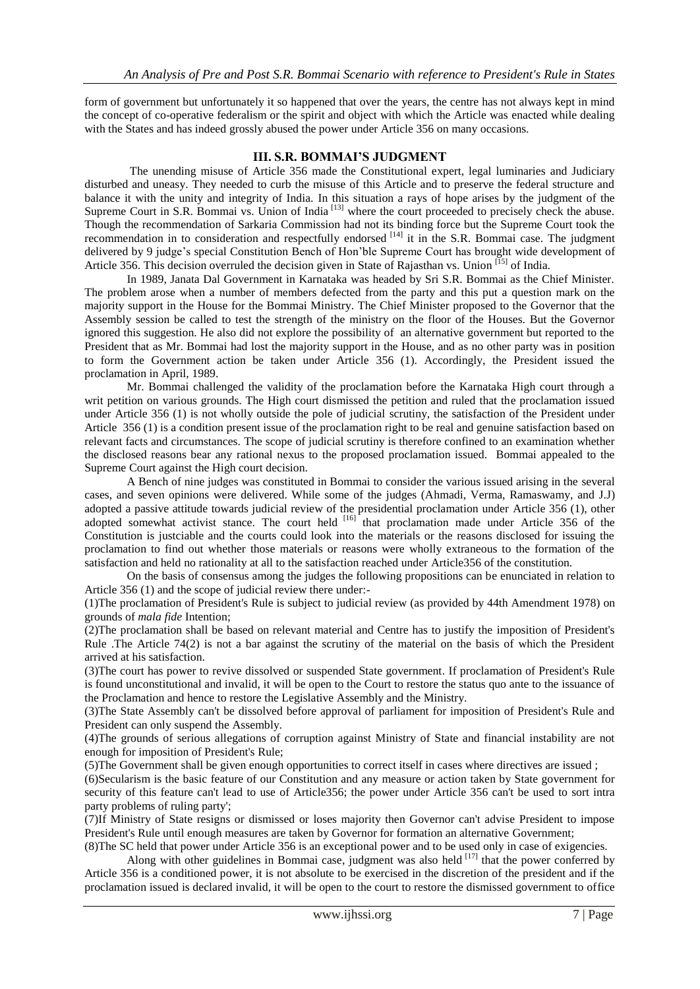form of government but unfortunately it so happened that over the years, the centre has not always kept in mind the concept of co-operative federalism or the spirit and object with which the Article was enacted while dealing with the States and has indeed grossly abused the power under Article 356 on many occasions.

## **III. S.R. BOMMAI'S JUDGMENT**

The unending misuse of Article 356 made the Constitutional expert, legal luminaries and Judiciary disturbed and uneasy. They needed to curb the misuse of this Article and to preserve the federal structure and balance it with the unity and integrity of India. In this situation a rays of hope arises by the judgment of the Supreme Court in S.R. Bommai vs. Union of India<sup>[13]</sup> where the court proceeded to precisely check the abuse. Though the recommendation of Sarkaria Commission had not its binding force but the Supreme Court took the recommendation in to consideration and respectfully endorsed <sup>[14]</sup> it in the S.R. Bommai case. The judgment delivered by 9 judge's special Constitution Bench of Hon'ble Supreme Court has brought wide development of Article 356. This decision overruled the decision given in State of Rajasthan vs. Union [15] of India.

In 1989, Janata Dal Government in Karnataka was headed by Sri S.R. Bommai as the Chief Minister. The problem arose when a number of members defected from the party and this put a question mark on the majority support in the House for the Bommai Ministry. The Chief Minister proposed to the Governor that the Assembly session be called to test the strength of the ministry on the floor of the Houses. But the Governor ignored this suggestion. He also did not explore the possibility of an alternative government but reported to the President that as Mr. Bommai had lost the majority support in the House, and as no other party was in position to form the Government action be taken under Article 356 (1). Accordingly, the President issued the proclamation in April, 1989.

Mr. Bommai challenged the validity of the proclamation before the Karnataka High court through a writ petition on various grounds. The High court dismissed the petition and ruled that the proclamation issued under Article 356 (1) is not wholly outside the pole of judicial scrutiny, the satisfaction of the President under Article 356 (1) is a condition present issue of the proclamation right to be real and genuine satisfaction based on relevant facts and circumstances. The scope of judicial scrutiny is therefore confined to an examination whether the disclosed reasons bear any rational nexus to the proposed proclamation issued. Bommai appealed to the Supreme Court against the High court decision.

A Bench of nine judges was constituted in Bommai to consider the various issued arising in the several cases, and seven opinions were delivered. While some of the judges (Ahmadi, Verma, Ramaswamy, and J.J) adopted a passive attitude towards judicial review of the presidential proclamation under Article 356 (1), other adopted somewhat activist stance. The court held <sup>[16]</sup> that proclamation made under Article 356 of the Constitution is justciable and the courts could look into the materials or the reasons disclosed for issuing the proclamation to find out whether those materials or reasons were wholly extraneous to the formation of the satisfaction and held no rationality at all to the satisfaction reached under Article356 of the constitution.

On the basis of consensus among the judges the following propositions can be enunciated in relation to Article 356 (1) and the scope of judicial review there under:-

(1)The proclamation of President's Rule is subject to judicial review (as provided by 44th Amendment 1978) on grounds of *mala fide* Intention;

(2)The proclamation shall be based on relevant material and Centre has to justify the imposition of President's Rule .The Article 74(2) is not a bar against the scrutiny of the material on the basis of which the President arrived at his satisfaction.

(3)The court has power to revive dissolved or suspended State government. If proclamation of President's Rule is found unconstitutional and invalid, it will be open to the Court to restore the status quo ante to the issuance of the Proclamation and hence to restore the Legislative Assembly and the Ministry.

(3)The State Assembly can't be dissolved before approval of parliament for imposition of President's Rule and President can only suspend the Assembly.

(4)The grounds of serious allegations of corruption against Ministry of State and financial instability are not enough for imposition of President's Rule;

(5)The Government shall be given enough opportunities to correct itself in cases where directives are issued ;

(6)Secularism is the basic feature of our Constitution and any measure or action taken by State government for security of this feature can't lead to use of Article356; the power under Article 356 can't be used to sort intra party problems of ruling party';

(7)If Ministry of State resigns or dismissed or loses majority then Governor can't advise President to impose President's Rule until enough measures are taken by Governor for formation an alternative Government;

(8)The SC held that power under Article 356 is an exceptional power and to be used only in case of exigencies. Along with other guidelines in Bommai case, judgment was also held  $^{[17]}$  that the power conferred by

Article 356 is a conditioned power, it is not absolute to be exercised in the discretion of the president and if the proclamation issued is declared invalid, it will be open to the court to restore the dismissed government to office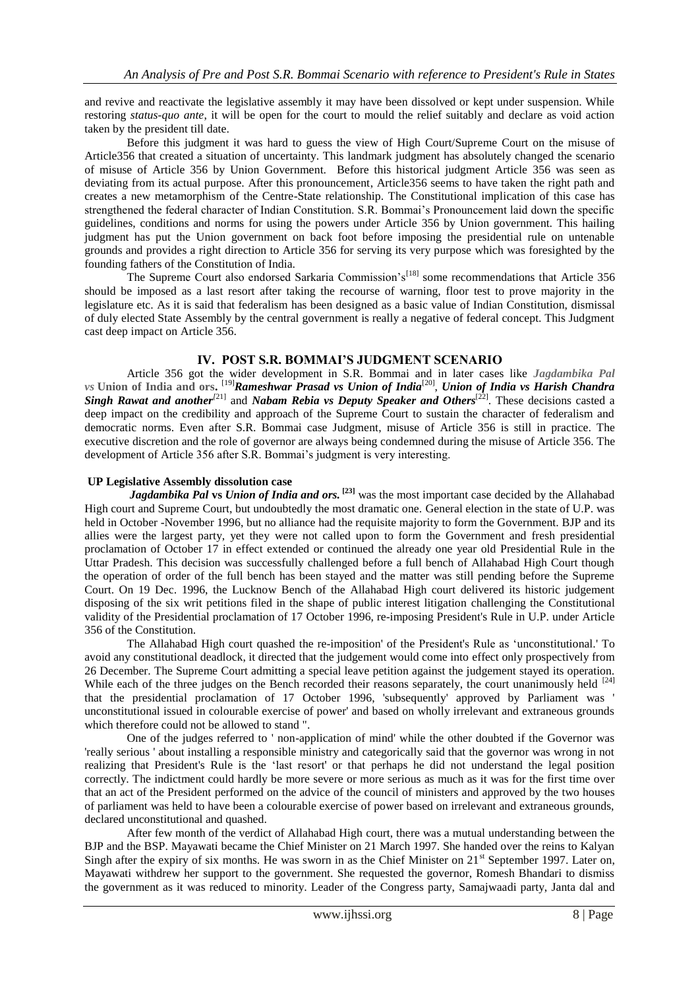and revive and reactivate the legislative assembly it may have been dissolved or kept under suspension. While restoring *status-quo ante*, it will be open for the court to mould the relief suitably and declare as void action taken by the president till date.

Before this judgment it was hard to guess the view of High Court/Supreme Court on the misuse of Article356 that created a situation of uncertainty. This landmark judgment has absolutely changed the scenario of misuse of Article 356 by Union Government. Before this historical judgment Article 356 was seen as deviating from its actual purpose. After this pronouncement, Article356 seems to have taken the right path and creates a new metamorphism of the Centre-State relationship. The Constitutional implication of this case has strengthened the federal character of Indian Constitution. S.R. Bommai's Pronouncement laid down the specific guidelines, conditions and norms for using the powers under Article 356 by Union government. This hailing judgment has put the Union government on back foot before imposing the presidential rule on untenable grounds and provides a right direction to Article 356 for serving its very purpose which was foresighted by the founding fathers of the Constitution of India.

The Supreme Court also endorsed Sarkaria Commission's<sup>[18]</sup> some recommendations that Article 356 should be imposed as a last resort after taking the recourse of warning, floor test to prove majority in the legislature etc. As it is said that federalism has been designed as a basic value of Indian Constitution, dismissal of duly elected State Assembly by the central government is really a negative of federal concept. This Judgment cast deep impact on Article 356.

## **IV. POST S.R. BOMMAI'S JUDGMENT SCENARIO**

Article 356 got the wider development in S.R. Bommai and in later cases like *Jagdambika Pal vs* **Union of India and ors.** [19]*Rameshwar Prasad vs Union of India*[20] , *Union of India vs Harish Chandra Singh Rawat and another*<sup>[21]</sup> and *Nabam Rebia vs Deputy Speaker and Others*<sup>[22]</sup>. These decisions casted a deep impact on the credibility and approach of the Supreme Court to sustain the character of federalism and democratic norms. Even after S.R. Bommai case Judgment, misuse of Article 356 is still in practice. The executive discretion and the role of governor are always being condemned during the misuse of Article 356. The development of Article 356 after S.R. Bommai's judgment is very interesting.

## **UP Legislative Assembly dissolution case**

*Jagdambika Pal* **vs** *Union of India and ors.* **[23]** was the most important case decided by the Allahabad High court and Supreme Court, but undoubtedly the most dramatic one. General election in the state of U.P. was held in October -November 1996, but no alliance had the requisite majority to form the Government. BJP and its allies were the largest party, yet they were not called upon to form the Government and fresh presidential proclamation of October 17 in effect extended or continued the already one year old Presidential Rule in the Uttar Pradesh. This decision was successfully challenged before a full bench of Allahabad High Court though the operation of order of the full bench has been stayed and the matter was still pending before the Supreme Court. On 19 Dec. 1996, the Lucknow Bench of the Allahabad High court delivered its historic judgement disposing of the six writ petitions filed in the shape of public interest litigation challenging the Constitutional validity of the Presidential proclamation of 17 October 1996, re-imposing President's Rule in U.P. under Article 356 of the Constitution.

The Allahabad High court quashed the re-imposition' of the President's Rule as 'unconstitutional.' To avoid any constitutional deadlock, it directed that the judgement would come into effect only prospectively from 26 December. The Supreme Court admitting a special leave petition against the judgement stayed its operation. While each of the three judges on the Bench recorded their reasons separately, the court unanimously held <sup>[24]</sup> that the presidential proclamation of 17 October 1996, 'subsequently' approved by Parliament was ' unconstitutional issued in colourable exercise of power' and based on wholly irrelevant and extraneous grounds which therefore could not be allowed to stand ".

One of the judges referred to ' non-application of mind' while the other doubted if the Governor was 'really serious ' about installing a responsible ministry and categorically said that the governor was wrong in not realizing that President's Rule is the 'last resort' or that perhaps he did not understand the legal position correctly. The indictment could hardly be more severe or more serious as much as it was for the first time over that an act of the President performed on the advice of the council of ministers and approved by the two houses of parliament was held to have been a colourable exercise of power based on irrelevant and extraneous grounds, declared unconstitutional and quashed.

After few month of the verdict of Allahabad High court, there was a mutual understanding between the BJP and the BSP. Mayawati became the Chief Minister on 21 March 1997. She handed over the reins to Kalyan Singh after the expiry of six months. He was sworn in as the Chief Minister on  $21<sup>st</sup>$  September 1997. Later on, Mayawati withdrew her support to the government. She requested the governor, Romesh Bhandari to dismiss the government as it was reduced to minority. Leader of the Congress party, Samajwaadi party, Janta dal and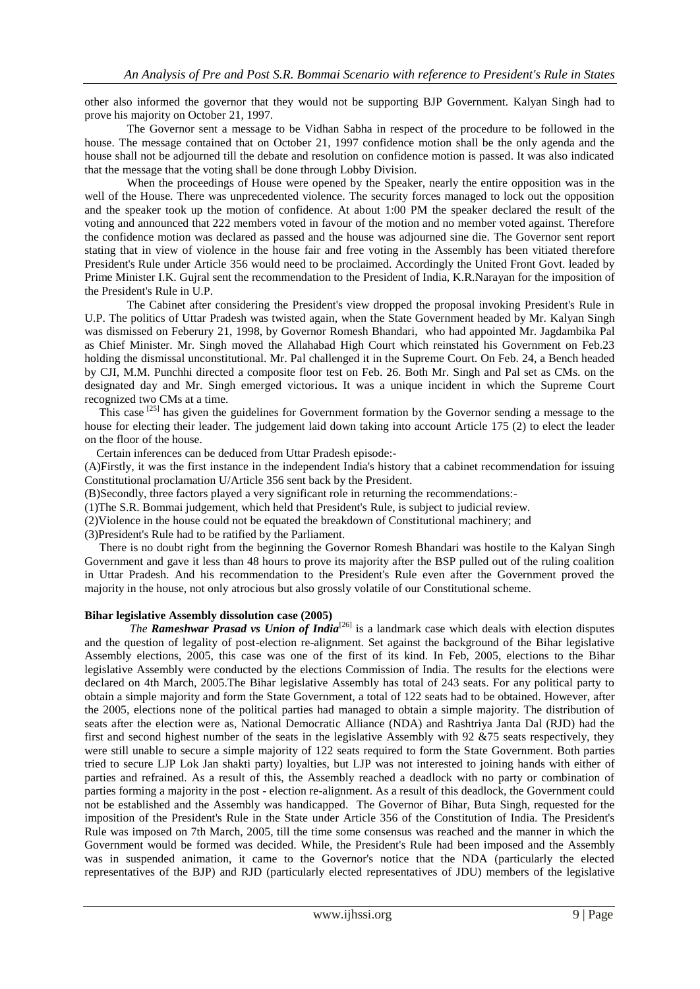other also informed the governor that they would not be supporting BJP Government. Kalyan Singh had to prove his majority on October 21, 1997.

The Governor sent a message to be Vidhan Sabha in respect of the procedure to be followed in the house. The message contained that on October 21, 1997 confidence motion shall be the only agenda and the house shall not be adjourned till the debate and resolution on confidence motion is passed. It was also indicated that the message that the voting shall be done through Lobby Division.

When the proceedings of House were opened by the Speaker, nearly the entire opposition was in the well of the House. There was unprecedented violence. The security forces managed to lock out the opposition and the speaker took up the motion of confidence. At about 1:00 PM the speaker declared the result of the voting and announced that 222 members voted in favour of the motion and no member voted against. Therefore the confidence motion was declared as passed and the house was adjourned sine die. The Governor sent report stating that in view of violence in the house fair and free voting in the Assembly has been vitiated therefore President's Rule under Article 356 would need to be proclaimed. Accordingly the United Front Govt. leaded by Prime Minister I.K. Gujral sent the recommendation to the President of India, K.R.Narayan for the imposition of the President's Rule in U.P.

The Cabinet after considering the President's view dropped the proposal invoking President's Rule in U.P. The politics of Uttar Pradesh was twisted again, when the State Government headed by Mr. Kalyan Singh was dismissed on Feberury 21, 1998, by Governor Romesh Bhandari, who had appointed Mr. Jagdambika Pal as Chief Minister. Mr. Singh moved the Allahabad High Court which reinstated his Government on Feb.23 holding the dismissal unconstitutional. Mr. Pal challenged it in the Supreme Court. On Feb. 24, a Bench headed by CJI, M.M. Punchhi directed a composite floor test on Feb. 26. Both Mr. Singh and Pal set as CMs. on the designated day and Mr. Singh emerged victorious**.** It was a unique incident in which the Supreme Court recognized two CMs at a time.

This case  $^{[25]}$  has given the guidelines for Government formation by the Governor sending a message to the house for electing their leader. The judgement laid down taking into account Article 175 (2) to elect the leader on the floor of the house.

Certain inferences can be deduced from Uttar Pradesh episode:-

(A)Firstly, it was the first instance in the independent India's history that a cabinet recommendation for issuing Constitutional proclamation U/Article 356 sent back by the President.

(B)Secondly, three factors played a very significant role in returning the recommendations:-

(1)The S.R. Bommai judgement, which held that President's Rule, is subject to judicial review.

(2)Violence in the house could not be equated the breakdown of Constitutional machinery; and

(3)President's Rule had to be ratified by the Parliament.

 There is no doubt right from the beginning the Governor Romesh Bhandari was hostile to the Kalyan Singh Government and gave it less than 48 hours to prove its majority after the BSP pulled out of the ruling coalition in Uttar Pradesh. And his recommendation to the President's Rule even after the Government proved the majority in the house, not only atrocious but also grossly volatile of our Constitutional scheme.

## **Bihar legislative Assembly dissolution case (2005)**

*The Rameshwar Prasad vs Union of India*[26] is a landmark case which deals with election disputes and the question of legality of post-election re-alignment. Set against the background of the Bihar legislative Assembly elections, 2005, this case was one of the first of its kind. In Feb, 2005, elections to the Bihar legislative Assembly were conducted by the elections Commission of India. The results for the elections were declared on 4th March, 2005.The Bihar legislative Assembly has total of 243 seats. For any political party to obtain a simple majority and form the State Government, a total of 122 seats had to be obtained. However, after the 2005, elections none of the political parties had managed to obtain a simple majority. The distribution of seats after the election were as, National Democratic Alliance (NDA) and Rashtriya Janta Dal (RJD) had the first and second highest number of the seats in the legislative Assembly with 92 &75 seats respectively, they were still unable to secure a simple majority of 122 seats required to form the State Government. Both parties tried to secure LJP Lok Jan shakti party) loyalties, but LJP was not interested to joining hands with either of parties and refrained. As a result of this, the Assembly reached a deadlock with no party or combination of parties forming a majority in the post - election re-alignment. As a result of this deadlock, the Government could not be established and the Assembly was handicapped. The Governor of Bihar, Buta Singh, requested for the imposition of the President's Rule in the State under Article 356 of the Constitution of India. The President's Rule was imposed on 7th March, 2005, till the time some consensus was reached and the manner in which the Government would be formed was decided. While, the President's Rule had been imposed and the Assembly was in suspended animation, it came to the Governor's notice that the NDA (particularly the elected representatives of the BJP) and RJD (particularly elected representatives of JDU) members of the legislative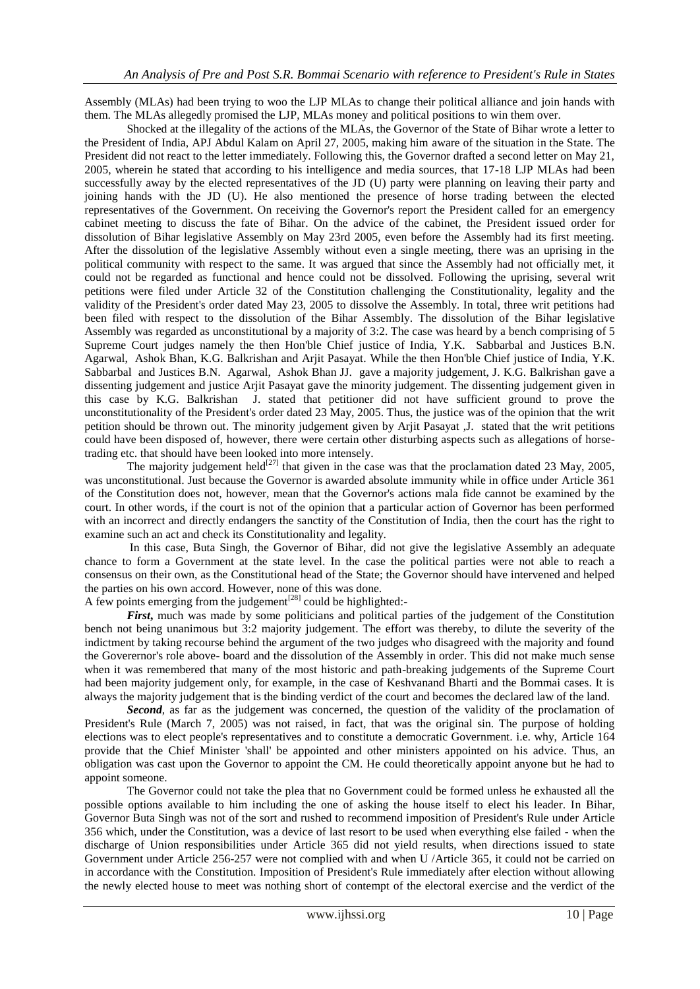Assembly (MLAs) had been trying to woo the LJP MLAs to change their political alliance and join hands with them. The MLAs allegedly promised the LJP, MLAs money and political positions to win them over.

Shocked at the illegality of the actions of the MLAs, the Governor of the State of Bihar wrote a letter to the President of India, APJ Abdul Kalam on April 27, 2005, making him aware of the situation in the State. The President did not react to the letter immediately. Following this, the Governor drafted a second letter on May 21, 2005, wherein he stated that according to his intelligence and media sources, that 17-18 LJP MLAs had been successfully away by the elected representatives of the JD (U) party were planning on leaving their party and joining hands with the JD (U). He also mentioned the presence of horse trading between the elected representatives of the Government. On receiving the Governor's report the President called for an emergency cabinet meeting to discuss the fate of Bihar. On the advice of the cabinet, the President issued order for dissolution of Bihar legislative Assembly on May 23rd 2005, even before the Assembly had its first meeting. After the dissolution of the legislative Assembly without even a single meeting, there was an uprising in the political community with respect to the same. It was argued that since the Assembly had not officially met, it could not be regarded as functional and hence could not be dissolved. Following the uprising, several writ petitions were filed under Article 32 of the Constitution challenging the Constitutionality, legality and the validity of the President's order dated May 23, 2005 to dissolve the Assembly. In total, three writ petitions had been filed with respect to the dissolution of the Bihar Assembly. The dissolution of the Bihar legislative Assembly was regarded as unconstitutional by a majority of 3:2. The case was heard by a bench comprising of 5 Supreme Court judges namely the then Hon'ble Chief justice of India, Y.K. Sabbarbal and Justices B.N. Agarwal, Ashok Bhan, K.G. Balkrishan and Arjit Pasayat. While the then Hon'ble Chief justice of India, Y.K. Sabbarbal and Justices B.N. Agarwal, Ashok Bhan JJ. gave a majority judgement, J. K.G. Balkrishan gave a dissenting judgement and justice Arjit Pasayat gave the minority judgement. The dissenting judgement given in this case by K.G. Balkrishan J. stated that petitioner did not have sufficient ground to prove the unconstitutionality of the President's order dated 23 May, 2005. Thus, the justice was of the opinion that the writ petition should be thrown out. The minority judgement given by Arjit Pasayat ,J. stated that the writ petitions could have been disposed of, however, there were certain other disturbing aspects such as allegations of horsetrading etc. that should have been looked into more intensely.

The majority judgement held<sup>[27]</sup> that given in the case was that the proclamation dated 23 May, 2005, was unconstitutional. Just because the Governor is awarded absolute immunity while in office under Article 361 of the Constitution does not, however, mean that the Governor's actions mala fide cannot be examined by the court. In other words, if the court is not of the opinion that a particular action of Governor has been performed with an incorrect and directly endangers the sanctity of the Constitution of India, then the court has the right to examine such an act and check its Constitutionality and legality.

In this case, Buta Singh, the Governor of Bihar, did not give the legislative Assembly an adequate chance to form a Government at the state level. In the case the political parties were not able to reach a consensus on their own, as the Constitutional head of the State; the Governor should have intervened and helped the parties on his own accord. However, none of this was done.

A few points emerging from the judgement<sup>[28]</sup> could be highlighted:-

*First*, much was made by some politicians and political parties of the judgement of the Constitution bench not being unanimous but 3:2 majority judgement. The effort was thereby, to dilute the severity of the indictment by taking recourse behind the argument of the two judges who disagreed with the majority and found the Goverernor's role above- board and the dissolution of the Assembly in order. This did not make much sense when it was remembered that many of the most historic and path-breaking judgements of the Supreme Court had been majority judgement only, for example, in the case of Keshvanand Bharti and the Bommai cases. It is always the majority judgement that is the binding verdict of the court and becomes the declared law of the land.

*Second*, as far as the judgement was concerned, the question of the validity of the proclamation of President's Rule (March 7, 2005) was not raised, in fact, that was the original sin. The purpose of holding elections was to elect people's representatives and to constitute a democratic Government. i.e. why, Article 164 provide that the Chief Minister 'shall' be appointed and other ministers appointed on his advice. Thus, an obligation was cast upon the Governor to appoint the CM. He could theoretically appoint anyone but he had to appoint someone.

The Governor could not take the plea that no Government could be formed unless he exhausted all the possible options available to him including the one of asking the house itself to elect his leader. In Bihar, Governor Buta Singh was not of the sort and rushed to recommend imposition of President's Rule under Article 356 which, under the Constitution, was a device of last resort to be used when everything else failed - when the discharge of Union responsibilities under Article 365 did not yield results, when directions issued to state Government under Article 256-257 were not complied with and when U /Article 365, it could not be carried on in accordance with the Constitution. Imposition of President's Rule immediately after election without allowing the newly elected house to meet was nothing short of contempt of the electoral exercise and the verdict of the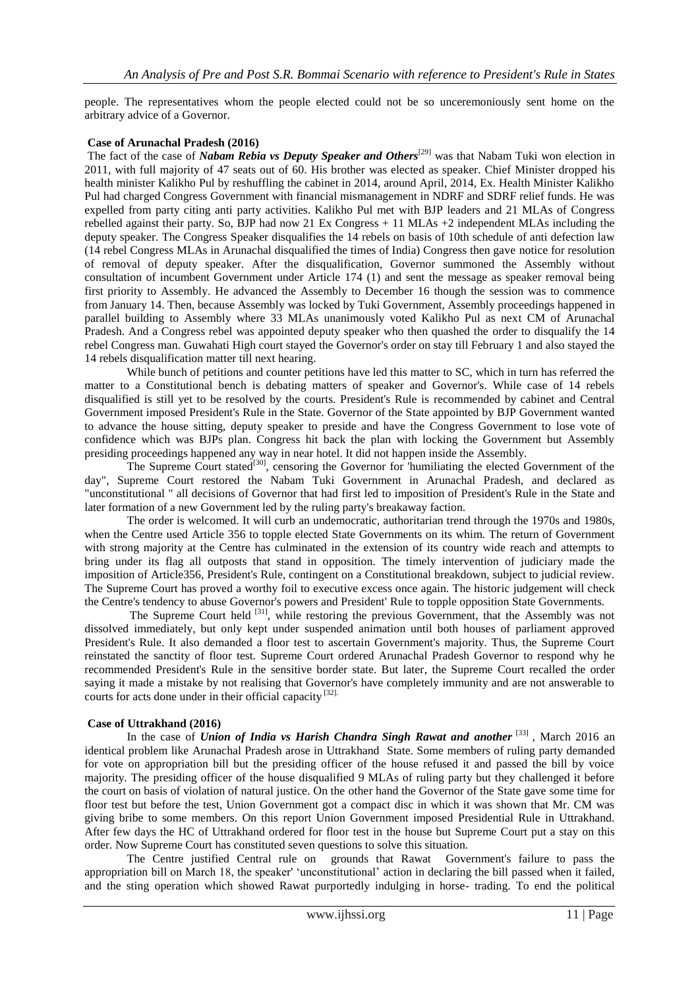people. The representatives whom the people elected could not be so unceremoniously sent home on the arbitrary advice of a Governor.

#### **Case of Arunachal Pradesh (2016)**

The fact of the case of *Nabam Rebia vs Deputy Speaker and Others*<sup>[29]</sup> was that Nabam Tuki won election in 2011, with full majority of 47 seats out of 60. His brother was elected as speaker. Chief Minister dropped his health minister Kalikho Pul by reshuffling the cabinet in 2014, around April, 2014, Ex. Health Minister Kalikho Pul had charged Congress Government with financial mismanagement in NDRF and SDRF relief funds. He was expelled from party citing anti party activities. Kalikho Pul met with BJP leaders and 21 MLAs of Congress rebelled against their party. So, BJP had now 21 Ex Congress + 11 MLAs +2 independent MLAs including the deputy speaker. The Congress Speaker disqualifies the 14 rebels on basis of 10th schedule of anti defection law (14 rebel Congress MLAs in Arunachal disqualified the times of India) Congress then gave notice for resolution of removal of deputy speaker. After the disqualification, Governor summoned the Assembly without consultation of incumbent Government under Article 174 (1) and sent the message as speaker removal being first priority to Assembly. He advanced the Assembly to December 16 though the session was to commence from January 14. Then, because Assembly was locked by Tuki Government, Assembly proceedings happened in parallel building to Assembly where 33 MLAs unanimously voted Kalikho Pul as next CM of Arunachal Pradesh. And a Congress rebel was appointed deputy speaker who then quashed the order to disqualify the 14 rebel Congress man. Guwahati High court stayed the Governor's order on stay till February 1 and also stayed the 14 rebels disqualification matter till next hearing.

While bunch of petitions and counter petitions have led this matter to SC, which in turn has referred the matter to a Constitutional bench is debating matters of speaker and Governor's. While case of 14 rebels disqualified is still yet to be resolved by the courts. President's Rule is recommended by cabinet and Central Government imposed President's Rule in the State. Governor of the State appointed by BJP Government wanted to advance the house sitting, deputy speaker to preside and have the Congress Government to lose vote of confidence which was BJPs plan. Congress hit back the plan with locking the Government but Assembly presiding proceedings happened any way in near hotel. It did not happen inside the Assembly.

The Supreme Court stated<sup>[30]</sup>, censoring the Governor for 'humiliating the elected Government of the day", Supreme Court restored the Nabam Tuki Government in Arunachal Pradesh, and declared as "unconstitutional " all decisions of Governor that had first led to imposition of President's Rule in the State and later formation of a new Government led by the ruling party's breakaway faction.

 The order is welcomed. It will curb an undemocratic, authoritarian trend through the 1970s and 1980s, when the Centre used Article 356 to topple elected State Governments on its whim. The return of Government with strong majority at the Centre has culminated in the extension of its country wide reach and attempts to bring under its flag all outposts that stand in opposition. The timely intervention of judiciary made the imposition of Article356, President's Rule, contingent on a Constitutional breakdown, subject to judicial review. The Supreme Court has proved a worthy foil to executive excess once again. The historic judgement will check the Centre's tendency to abuse Governor's powers and President' Rule to topple opposition State Governments.

The Supreme Court held <sup>[31]</sup>, while restoring the previous Government, that the Assembly was not dissolved immediately, but only kept under suspended animation until both houses of parliament approved President's Rule. It also demanded a floor test to ascertain Government's majority. Thus, the Supreme Court reinstated the sanctity of floor test. Supreme Court ordered Arunachal Pradesh Governor to respond why he recommended President's Rule in the sensitive border state. But later, the Supreme Court recalled the order saying it made a mistake by not realising that Governor's have completely immunity and are not answerable to courts for acts done under in their official capacity [32].

#### **Case of Uttrakhand (2016)**

In the case of *Union of India vs Harish Chandra Singh Rawat and another* <sup>[33]</sup>, March 2016 an identical problem like Arunachal Pradesh arose in Uttrakhand State. Some members of ruling party demanded for vote on appropriation bill but the presiding officer of the house refused it and passed the bill by voice majority. The presiding officer of the house disqualified 9 MLAs of ruling party but they challenged it before the court on basis of violation of natural justice. On the other hand the Governor of the State gave some time for floor test but before the test, Union Government got a compact disc in which it was shown that Mr. CM was giving bribe to some members. On this report Union Government imposed Presidential Rule in Uttrakhand. After few days the HC of Uttrakhand ordered for floor test in the house but Supreme Court put a stay on this order. Now Supreme Court has constituted seven questions to solve this situation.

The Centre justified Central rule on grounds that Rawat Government's failure to pass the appropriation bill on March 18, the speaker' 'unconstitutional' action in declaring the bill passed when it failed, and the sting operation which showed Rawat purportedly indulging in horse- trading. To end the political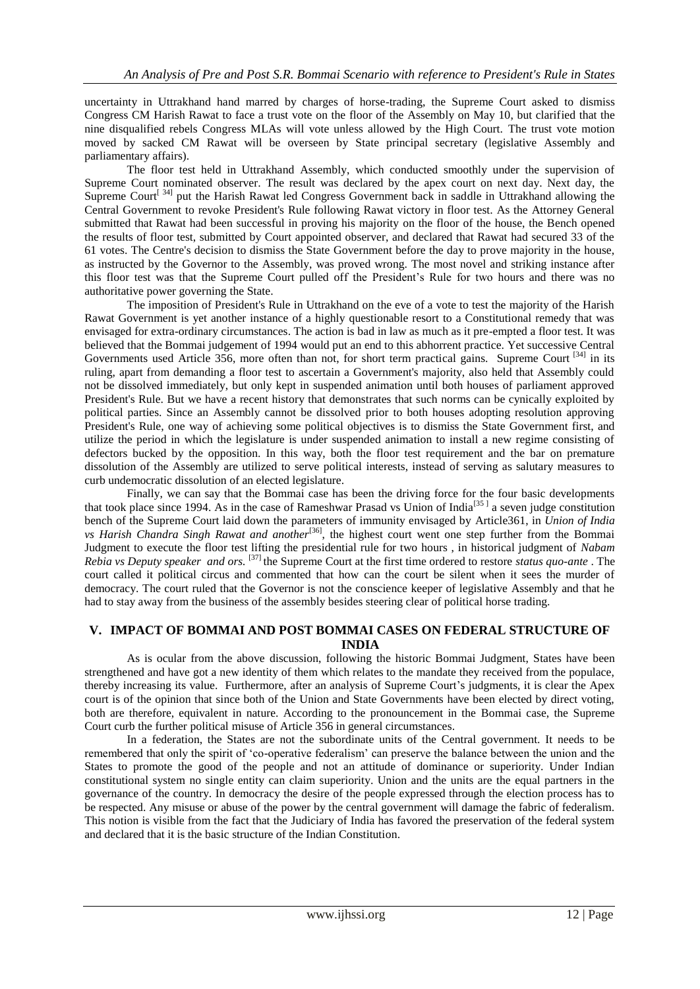uncertainty in Uttrakhand hand marred by charges of horse-trading, the Supreme Court asked to dismiss Congress CM Harish Rawat to face a trust vote on the floor of the Assembly on May 10, but clarified that the nine disqualified rebels Congress MLAs will vote unless allowed by the High Court. The trust vote motion moved by sacked CM Rawat will be overseen by State principal secretary (legislative Assembly and parliamentary affairs).

The floor test held in Uttrakhand Assembly, which conducted smoothly under the supervision of Supreme Court nominated observer. The result was declared by the apex court on next day. Next day, the Supreme Court<sup>[34]</sup> put the Harish Rawat led Congress Government back in saddle in Uttrakhand allowing the Central Government to revoke President's Rule following Rawat victory in floor test. As the Attorney General submitted that Rawat had been successful in proving his majority on the floor of the house, the Bench opened the results of floor test, submitted by Court appointed observer, and declared that Rawat had secured 33 of the 61 votes. The Centre's decision to dismiss the State Government before the day to prove majority in the house, as instructed by the Governor to the Assembly, was proved wrong. The most novel and striking instance after this floor test was that the Supreme Court pulled off the President's Rule for two hours and there was no authoritative power governing the State.

The imposition of President's Rule in Uttrakhand on the eve of a vote to test the majority of the Harish Rawat Government is yet another instance of a highly questionable resort to a Constitutional remedy that was envisaged for extra-ordinary circumstances. The action is bad in law as much as it pre-empted a floor test. It was believed that the Bommai judgement of 1994 would put an end to this abhorrent practice. Yet successive Central Governments used Article 356, more often than not, for short term practical gains. Supreme Court<sup>[34]</sup> in its ruling, apart from demanding a floor test to ascertain a Government's majority, also held that Assembly could not be dissolved immediately, but only kept in suspended animation until both houses of parliament approved President's Rule. But we have a recent history that demonstrates that such norms can be cynically exploited by political parties. Since an Assembly cannot be dissolved prior to both houses adopting resolution approving President's Rule, one way of achieving some political objectives is to dismiss the State Government first, and utilize the period in which the legislature is under suspended animation to install a new regime consisting of defectors bucked by the opposition. In this way, both the floor test requirement and the bar on premature dissolution of the Assembly are utilized to serve political interests, instead of serving as salutary measures to curb undemocratic dissolution of an elected legislature.

Finally, we can say that the Bommai case has been the driving force for the four basic developments that took place since 1994. As in the case of Rameshwar Prasad vs Union of India<sup>[35]</sup> a seven judge constitution bench of the Supreme Court laid down the parameters of immunity envisaged by Article361, in *Union of India*  vs Harish Chandra Singh Rawat and another<sup>[36]</sup>, the highest court went one step further from the Bommai Judgment to execute the floor test lifting the presidential rule for two hours , in historical judgment of *Nabam Rebia vs Deputy speaker and ors.* [37] the Supreme Court at the first time ordered to restore *status quo-ante* . The court called it political circus and commented that how can the court be silent when it sees the murder of democracy. The court ruled that the Governor is not the conscience keeper of legislative Assembly and that he had to stay away from the business of the assembly besides steering clear of political horse trading.

# **V. IMPACT OF BOMMAI AND POST BOMMAI CASES ON FEDERAL STRUCTURE OF INDIA**

As is ocular from the above discussion, following the historic Bommai Judgment, States have been strengthened and have got a new identity of them which relates to the mandate they received from the populace, thereby increasing its value. Furthermore, after an analysis of Supreme Court's judgments, it is clear the Apex court is of the opinion that since both of the Union and State Governments have been elected by direct voting, both are therefore, equivalent in nature. According to the pronouncement in the Bommai case, the Supreme Court curb the further political misuse of Article 356 in general circumstances.

In a federation, the States are not the subordinate units of the Central government. It needs to be remembered that only the spirit of 'co-operative federalism' can preserve the balance between the union and the States to promote the good of the people and not an attitude of dominance or superiority. Under Indian constitutional system no single entity can claim superiority. Union and the units are the equal partners in the governance of the country. In democracy the desire of the people expressed through the election process has to be respected. Any misuse or abuse of the power by the central government will damage the fabric of federalism. This notion is visible from the fact that the Judiciary of India has favored the preservation of the federal system and declared that it is the basic structure of the Indian Constitution.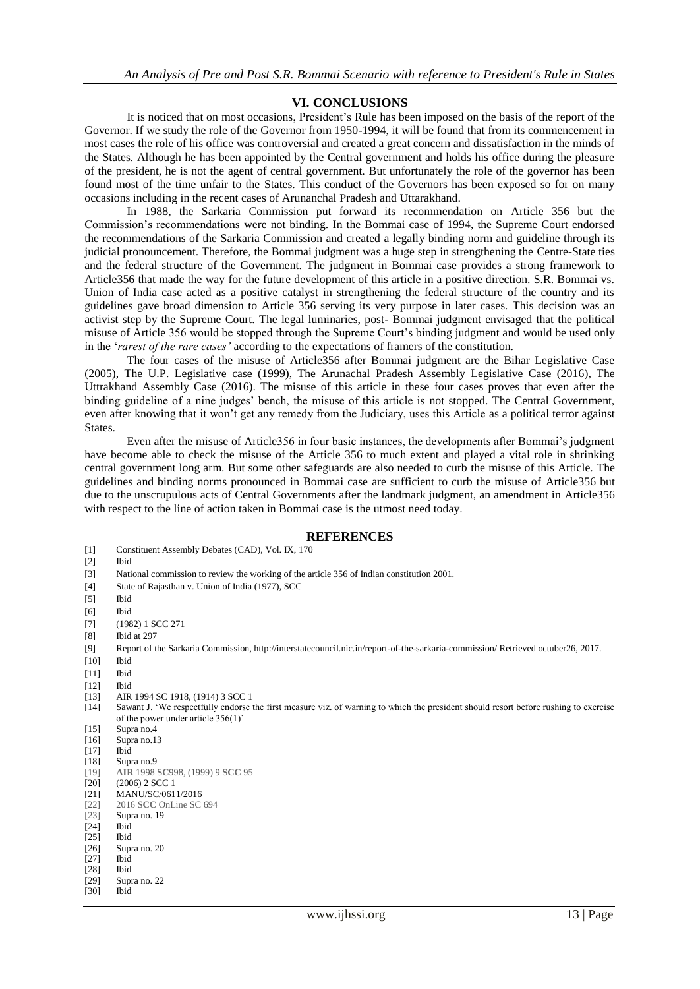## **VI. CONCLUSIONS**

It is noticed that on most occasions, President's Rule has been imposed on the basis of the report of the Governor. If we study the role of the Governor from 1950-1994, it will be found that from its commencement in most cases the role of his office was controversial and created a great concern and dissatisfaction in the minds of the States. Although he has been appointed by the Central government and holds his office during the pleasure of the president, he is not the agent of central government. But unfortunately the role of the governor has been found most of the time unfair to the States. This conduct of the Governors has been exposed so for on many occasions including in the recent cases of Arunanchal Pradesh and Uttarakhand.

In 1988, the Sarkaria Commission put forward its recommendation on Article 356 but the Commission's recommendations were not binding. In the Bommai case of 1994, the Supreme Court endorsed the recommendations of the Sarkaria Commission and created a legally binding norm and guideline through its judicial pronouncement. Therefore, the Bommai judgment was a huge step in strengthening the Centre-State ties and the federal structure of the Government. The judgment in Bommai case provides a strong framework to Article356 that made the way for the future development of this article in a positive direction. S.R. Bommai vs. Union of India case acted as a positive catalyst in strengthening the federal structure of the country and its guidelines gave broad dimension to Article 356 serving its very purpose in later cases. This decision was an activist step by the Supreme Court. The legal luminaries, post- Bommai judgment envisaged that the political misuse of Article 356 would be stopped through the Supreme Court's binding judgment and would be used only in the '*rarest of the rare cases'* according to the expectations of framers of the constitution.

The four cases of the misuse of Article356 after Bommai judgment are the Bihar Legislative Case (2005), The U.P. Legislative case (1999), The Arunachal Pradesh Assembly Legislative Case (2016), The Uttrakhand Assembly Case (2016). The misuse of this article in these four cases proves that even after the binding guideline of a nine judges' bench, the misuse of this article is not stopped. The Central Government, even after knowing that it won't get any remedy from the Judiciary, uses this Article as a political terror against States.

Even after the misuse of Article356 in four basic instances, the developments after Bommai's judgment have become able to check the misuse of the Article 356 to much extent and played a vital role in shrinking central government long arm. But some other safeguards are also needed to curb the misuse of this Article. The guidelines and binding norms pronounced in Bommai case are sufficient to curb the misuse of Article356 but due to the unscrupulous acts of Central Governments after the landmark judgment, an amendment in Article356 with respect to the line of action taken in Bommai case is the utmost need today.

#### **REFERENCES**

- [1] Constituent Assembly Debates (CAD), Vol. IX, 170
- [2] Ibid
- [3] National commission to review the working of the article 356 of Indian constitution 2001.
- [4] State of Rajasthan v. Union of India (1977), SCC
- [5] Ibid
- [6] Ibid
- [7] (1982) 1 SCC 271
- [8] Ibid at 297
- 
- [9] Report of the Sarkaria Commission, http://interstatecouncil.nic.in/report-of-the-sarkaria-commission/ Retrieved octuber26, 2017.
- [10] Ibid
- [11] Ibid
- [12] Ibid
- [13] AIR 1994 SC 1918, (1914) 3 SCC 1
- [14] Sawant J. 'We respectfully endorse the first measure viz. of warning to which the president should resort before rushing to exercise of the power under article 356(1)'
- [15] Supra no.4
- [16] Supra no.13<br>[17] Ibid
- $[17]$
- [18] Supra no.9 [19] **AIR** 1998 **SC**998, (1999) 9 **SCC** 95 [20] (2006) 2 SCC 1<br>[21] MANU/SC/061 [21] MANU/SC/0611/2016<br>[22] 2016 SCC OnLine SC [22] 2016 **SCC** OnLine SC 694 [23] Supra no. 19 [24] Ibid [25] Ibid [26] Supra no. 20
- [27] Ibid<br>[28] Ibid
- $[28]$ <br> $[29]$
- Supra no. 22
- [30] Ibid